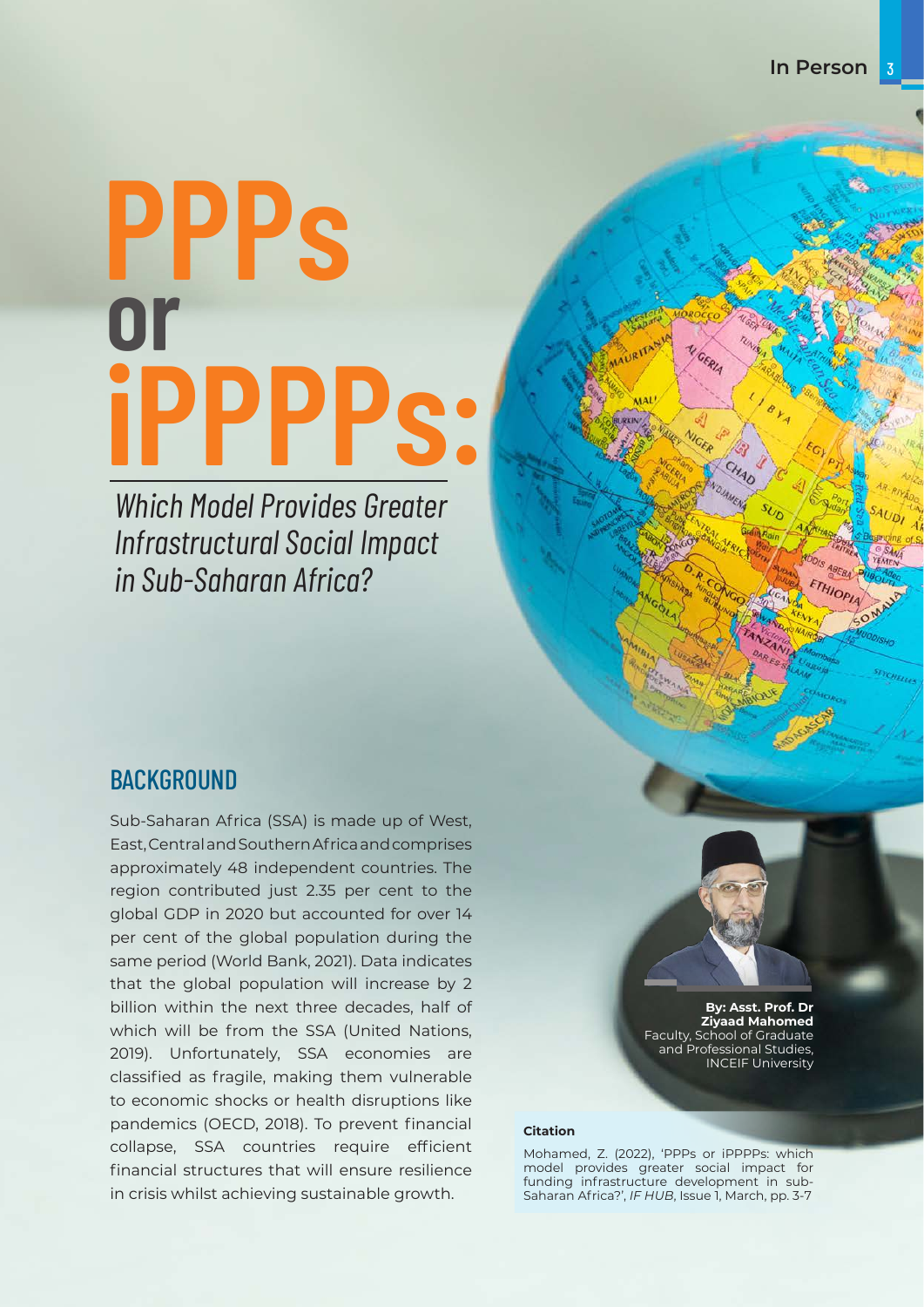# **PPPs iPPPPs: or**

*Which Model Provides Greater Infrastructural Social Impact in Sub-Saharan Africa?*

### **BACKGROUND**

Sub-Saharan Africa (SSA) is made up of West, East, Central and Southern Africa and comprises approximately 48 independent countries. The region contributed just 2.35 per cent to the global GDP in 2020 but accounted for over 14 per cent of the global population during the same period (World Bank, 2021). Data indicates that the global population will increase by 2 billion within the next three decades, half of which will be from the SSA (United Nations, 2019). Unfortunately, SSA economies are classified as fragile, making them vulnerable to economic shocks or health disruptions like pandemics (OECD, 2018). To prevent financial collapse, SSA countries require efficient financial structures that will ensure resilience in crisis whilst achieving sustainable growth.



**By: Asst. Prof. Dr Ziyaad Mahomed**  Faculty, School of Graduate and Professional Studies, INCEIF University

#### **Citation**

Mohamed, Z. (2022), 'PPPs or iPPPPs: which model provides greater social impact for funding infrastructure development in sub-Saharan Africa?', *IF HUB*, Issue 1, March, pp. 3-7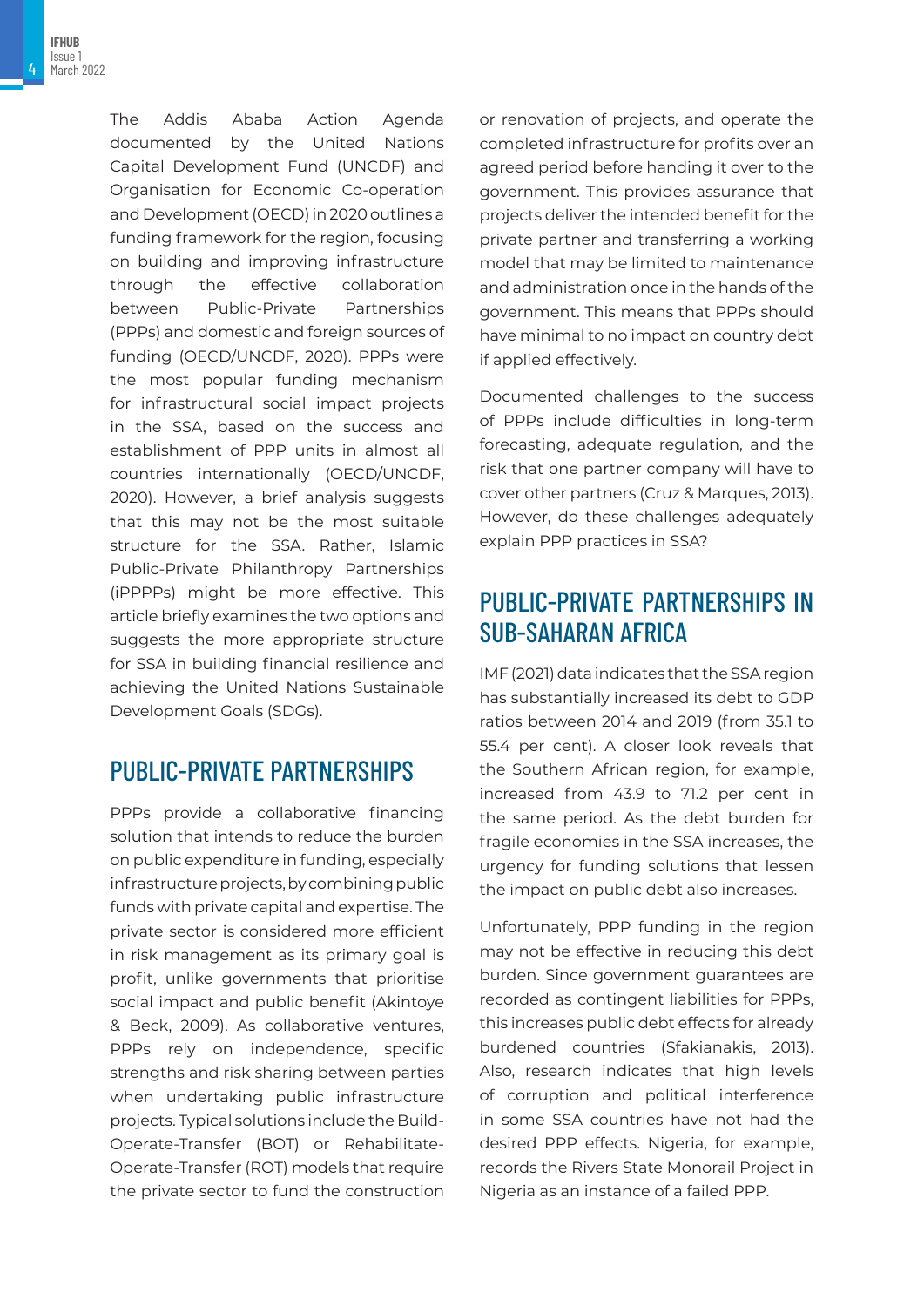4

The Addis Ababa Action Agenda documented by the United Nations Capital Development Fund (UNCDF) and Organisation for Economic Co-operation and Development (OECD) in 2020 outlines a funding framework for the region, focusing on building and improving infrastructure through the effective collaboration between Public-Private Partnerships (PPPs) and domestic and foreign sources of funding (OECD/UNCDF, 2020). PPPs were the most popular funding mechanism for infrastructural social impact projects in the SSA, based on the success and establishment of PPP units in almost all countries internationally (OECD/UNCDF, 2020). However, a brief analysis suggests that this may not be the most suitable structure for the SSA. Rather, Islamic Public-Private Philanthropy Partnerships (iPPPPs) might be more effective. This article briefly examines the two options and suggests the more appropriate structure for SSA in building financial resilience and achieving the United Nations Sustainable Development Goals (SDGs).

## PUBLIC-PRIVATE PARTNERSHIPS

PPPs provide a collaborative financing solution that intends to reduce the burden on public expenditure in funding, especially infrastructure projects, by combining public funds with private capital and expertise. The private sector is considered more efficient in risk management as its primary goal is profit, unlike governments that prioritise social impact and public benefit (Akintoye & Beck, 2009). As collaborative ventures, PPPs rely on independence, specific strengths and risk sharing between parties when undertaking public infrastructure projects. Typical solutions include the Build-Operate-Transfer (BOT) or Rehabilitate-Operate-Transfer (ROT) models that require the private sector to fund the construction or renovation of projects, and operate the completed infrastructure for profits over an agreed period before handing it over to the government. This provides assurance that projects deliver the intended benefit for the private partner and transferring a working model that may be limited to maintenance and administration once in the hands of the government. This means that PPPs should have minimal to no impact on country debt if applied effectively.

Documented challenges to the success of PPPs include difficulties in long-term forecasting, adequate regulation, and the risk that one partner company will have to cover other partners (Cruz & Marques, 2013). However, do these challenges adequately explain PPP practices in SSA?

## PUBLIC-PRIVATE PARTNERSHIPS IN SUB-SAHARAN AFRICA

IMF (2021) data indicates that the SSA region has substantially increased its debt to GDP ratios between 2014 and 2019 (from 35.1 to 55.4 per cent). A closer look reveals that the Southern African region, for example, increased from 43.9 to 71.2 per cent in the same period. As the debt burden for fragile economies in the SSA increases, the urgency for funding solutions that lessen the impact on public debt also increases.

Unfortunately, PPP funding in the region may not be effective in reducing this debt burden. Since government guarantees are recorded as contingent liabilities for PPPs, this increases public debt effects for already burdened countries (Sfakianakis, 2013). Also, research indicates that high levels of corruption and political interference in some SSA countries have not had the desired PPP effects. Nigeria, for example, records the Rivers State Monorail Project in Nigeria as an instance of a failed PPP.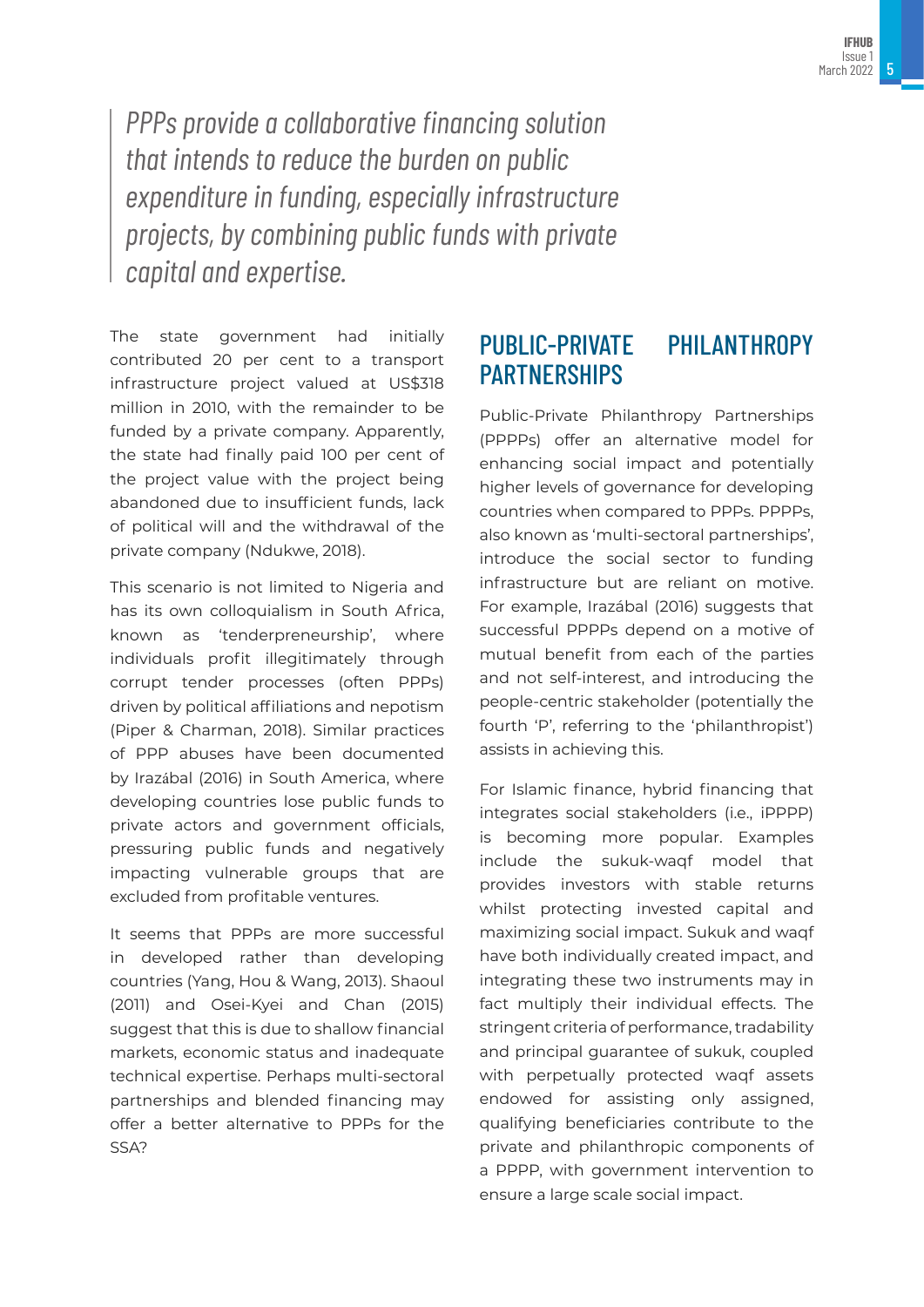*PPPs provide a collaborative financing solution that intends to reduce the burden on public expenditure in funding, especially infrastructure projects, by combining public funds with private capital and expertise.* 

The state government had initially contributed 20 per cent to a transport infrastructure project valued at US\$318 million in 2010, with the remainder to be funded by a private company. Apparently, the state had finally paid 100 per cent of the project value with the project being abandoned due to insufficient funds, lack of political will and the withdrawal of the private company (Ndukwe, 2018).

This scenario is not limited to Nigeria and has its own colloquialism in South Africa, known as 'tenderpreneurship', where individuals profit illegitimately through corrupt tender processes (often PPPs) driven by political affiliations and nepotism (Piper & Charman, 2018). Similar practices of PPP abuses have been documented by Irazábal (2016) in South America, where developing countries lose public funds to private actors and government officials, pressuring public funds and negatively impacting vulnerable groups that are excluded from profitable ventures.

It seems that PPPs are more successful in developed rather than developing countries (Yang, Hou & Wang, 2013). Shaoul (2011) and Osei-Kyei and Chan (2015) suggest that this is due to shallow financial markets, economic status and inadequate technical expertise. Perhaps multi-sectoral partnerships and blended financing may offer a better alternative to PPPs for the SSA?

## PUBLIC-PRIVATE PHILANTHROPY PARTNERSHIPS

Public-Private Philanthropy Partnerships (PPPPs) offer an alternative model for enhancing social impact and potentially higher levels of governance for developing countries when compared to PPPs. PPPPs, also known as 'multi-sectoral partnerships', introduce the social sector to funding infrastructure but are reliant on motive. For example, Irazábal (2016) suggests that successful PPPPs depend on a motive of mutual benefit from each of the parties and not self-interest, and introducing the people-centric stakeholder (potentially the fourth 'P', referring to the 'philanthropist') assists in achieving this.

For Islamic finance, hybrid financing that integrates social stakeholders (i.e., iPPPP) is becoming more popular. Examples include the sukuk-waqf model that provides investors with stable returns whilst protecting invested capital and maximizing social impact. Sukuk and waqf have both individually created impact, and integrating these two instruments may in fact multiply their individual effects. The stringent criteria of performance, tradability and principal guarantee of sukuk, coupled with perpetually protected waqf assets endowed for assisting only assigned, qualifying beneficiaries contribute to the private and philanthropic components of a PPPP, with government intervention to ensure a large scale social impact.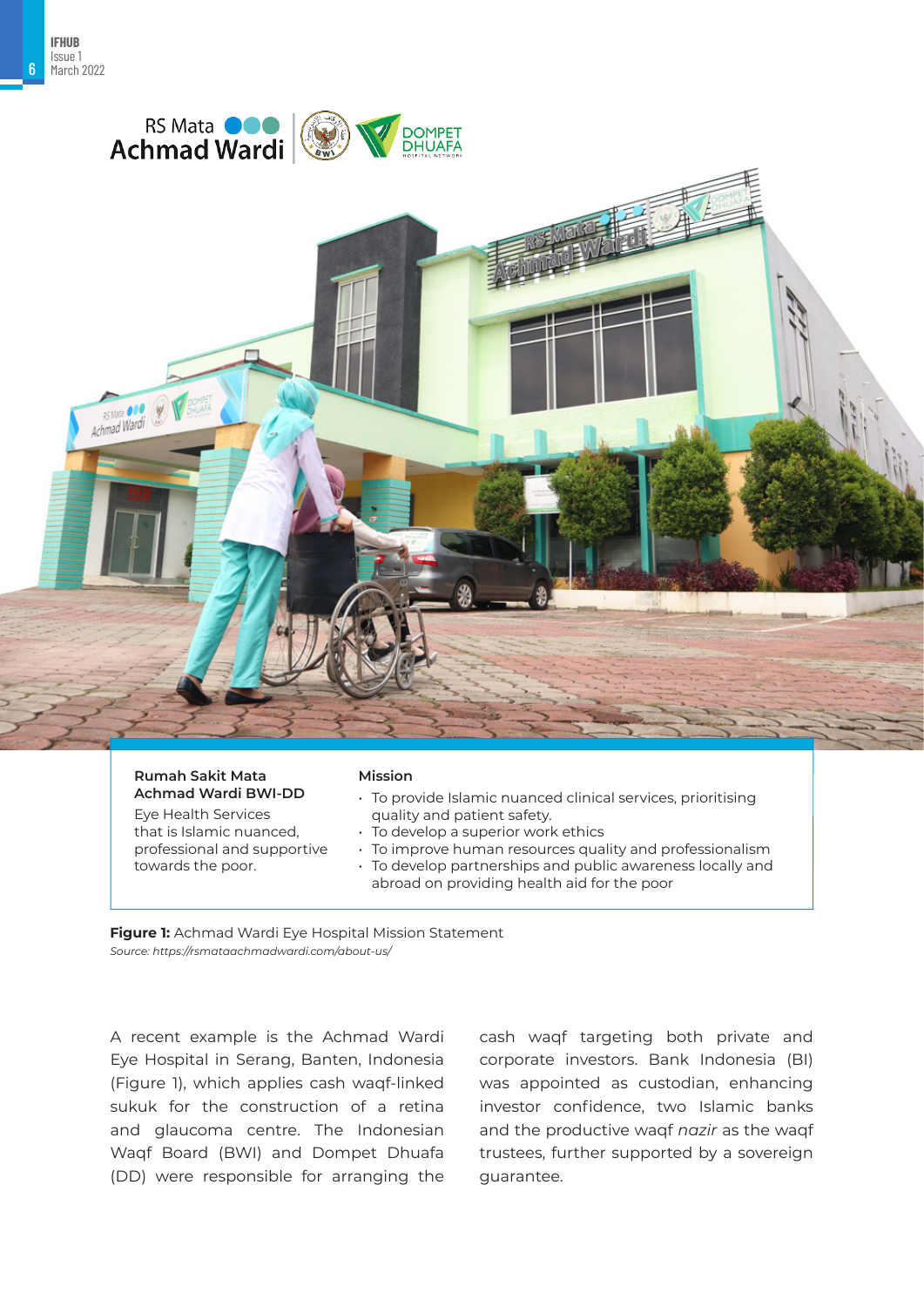6





#### **Rumah Sakit Mata Achmad Wardi BWI-DD**

Eye Health Services that is Islamic nuanced, professional and supportive towards the poor.

#### **Mission**

- To provide Islamic nuanced clinical services, prioritising quality and patient safety.
- To develop a superior work ethics
- To improve human resources quality and professionalism
- To develop partnerships and public awareness locally and abroad on providing health aid for the poor

*Source: https://rsmataachmadwardi.com/about-us/* **Figure 1:** Achmad Wardi Eye Hospital Mission Statement

A recent example is the Achmad Wardi Eye Hospital in Serang, Banten, Indonesia (Figure 1), which applies cash waqf-linked sukuk for the construction of a retina and glaucoma centre. The Indonesian Waqf Board (BWI) and Dompet Dhuafa (DD) were responsible for arranging the cash waqf targeting both private and corporate investors. Bank Indonesia (BI) was appointed as custodian, enhancing investor confidence, two Islamic banks and the productive waqf *nazir* as the waqf trustees, further supported by a sovereign guarantee.